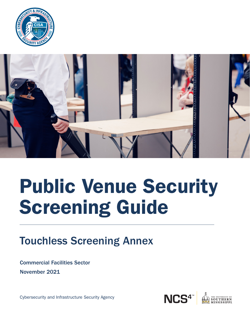



# Public Venue Security Screening Guide

### Touchless Screening Annex

Commercial Facilities Sector November 2021

Cybersecurity and Infrastructure Security Agency

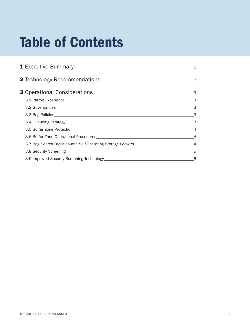## Table of Contents

| 3.1 Patron Experience <b>Example 2018</b> Service and Service Contractor Contractor Contractor Contractor Contractor Contractor Contractor Contractor Contractor Contractor Contractor Contractor Contractor Contractor Contractor   | - 3                        |
|--------------------------------------------------------------------------------------------------------------------------------------------------------------------------------------------------------------------------------------|----------------------------|
| 3.2 Governances and the contract of the contract of the contract of the contract of the contract of the contract of the contract of the contract of the contract of the contract of the contract of the contract of the contra       | $\overline{\phantom{a}}$ 3 |
|                                                                                                                                                                                                                                      |                            |
|                                                                                                                                                                                                                                      | $\sim$ 3                   |
|                                                                                                                                                                                                                                      |                            |
| 3.6 Buffer Zone Operational Procedures <b>Contract Contract Contract Contract Contract Contract Contract Contract Contract Contract Contract Contract Contract Contract Contract Contract Contract Contract Contract Contract Co</b> |                            |
|                                                                                                                                                                                                                                      |                            |
| 3.8 Security Screening 50 and 200 and 200 and 200 and 200 and 200 and 200 and 200 and 200 and 200 and 200 and 200 and 200 and 200 and 200 and 200 and 200 and 200 and 200 and 200 and 200 and 200 and 200 and 200 and 200 and        |                            |
|                                                                                                                                                                                                                                      | 6                          |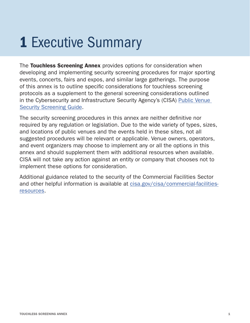### **1 Executive Summary**

The Touchless Screening Annex provides options for consideration when developing and implementing security screening procedures for major sporting events, concerts, fairs and expos, and similar large gatherings. The purpose of this annex is to outline specific considerations for touchless screening protocols as a supplement to the general screening considerations outlined in the Cybersecurity and Infrastructure Security Agency's (CISA) Public Venue [Security Screening Guide.](https://www.cisa.gov/publication/public-venue-security-screening-guide)

The security screening procedures in this annex are neither definitive nor required by any regulation or legislation. Due to the wide variety of types, sizes, and locations of public venues and the events held in these sites, not all suggested procedures will be relevant or applicable. Venue owners, operators, and event organizers may choose to implement any or all the options in this annex and should supplement them with additional resources when available. CISA will not take any action against an entity or company that chooses not to implement these options for consideration.

Additional guidance related to the security of the Commercial Facilities Sector and other helpful information is available at [cisa.gov/cisa/commercial-facilities](https://www.cisa.gov/cisa/commercial-facilities-resources)[resources](https://www.cisa.gov/cisa/commercial-facilities-resources).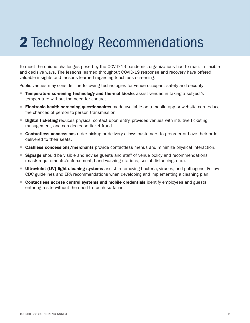## 2 Technology Recommendations

To meet the unique challenges posed by the COVID-19 pandemic, organizations had to react in flexible and decisive ways. The lessons learned throughout COVID-19 response and recovery have offered valuable insights and lessons learned regarding touchless screening.

Public venues may consider the following technologies for venue occupant safety and security:

- **Temperature screening technology and thermal kiosks** assist venues in taking a subject's temperature without the need for contact.
- **Electronic health screening questionnaires** made available on a mobile app or website can reduce the chances of person-to-person transmission.
- **Digital ticketing** reduces physical contact upon entry, provides venues with intuitive ticketing management, and can decrease ticket fraud.
- **Contactless concessions** order pickup or delivery allows customers to preorder or have their order delivered to their seats.
- **Cashless concessions/merchants** provide contactless menus and minimize physical interaction.
- **Signage** should be visible and advise guests and staff of venue policy and recommendations (mask requirements/enforcement, hand washing stations, social distancing, etc.).
- **Ultraviolet (UV) light cleaning systems** assist in removing bacteria, viruses, and pathogens. Follow CDC guidelines and EPA recommendations when developing and implementing a cleaning plan.
- **Contactless access control systems and mobile credentials** identify employees and guests entering a site without the need to touch surfaces.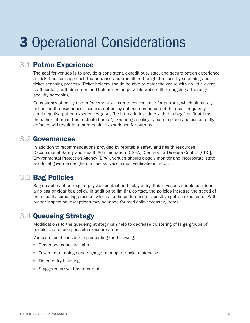### 3 Operational Considerations

#### 3.1 Patron Experience

The goal for venues is to provide a consistent, expeditious, safe, and secure patron experience as ticket holders approach the entrance and transition through the security screening and ticket scanning process. Ticket holders should be able to enter the venue with as little event staff contact to their person and belongings as possible while still undergoing a thorough security screening.

Consistency of policy and enforcement will create convenience for patrons, which ultimately enhances the experience. Inconsistent policy enforcement is one of the most frequentlycited negative patron experiences (e.g., "he let me in last time with this bag," or "last time the usher let me in this restricted area."). Ensuring a policy is both in place and consistently enforced will result in a more positive experience for patrons.

#### 3.2 Governances

In addition to recommendations provided by reputable safety and health resources (Occupational Safety and Health Administration [OSHA], Centers for Disease Control [CDC], Environmental Protection Agency [EPA]), venues should closely monitor and incorporate state and local governances (health checks, vaccination verifications, etc.).

#### 3.3 Bag Policies

Bag searches often require physical contact and delay entry. Public venues should consider a no bag or clear bag policy. In addition to limiting contact, the policies increase the speed of the security screening process, which also helps to ensure a positive patron experience. With proper inspection, exceptions may be made for medically necessary items.

#### 3.4 Queueing Strategy

Modifications to the queueing strategy can help to decrease clustering of large groups of people and reduce possible exposure areas.

Venues should consider implementing the following:

- Decreased capacity limits
- **Pavement markings and signage to support social distancing**
- Timed entry ticketing
- Staggered arrival times for staff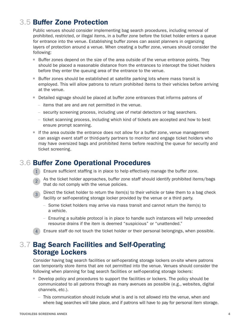#### 3.5 Buffer Zone Protection

Public venues should consider implementing bag search procedures, including removal of prohibited, restricted, or illegal items, in a buffer zone before the ticket holder enters a queue for entrance into the venue. Establishing buffer zones can assist planners in organizing layers of protection around a venue. When creating a buffer zone, venues should consider the following:

- Buffer zones depend on the size of the area outside of the venue entrance points. They should be placed a reasonable distance from the entrances to intercept the ticket holders before they enter the queuing area of the entrance to the venue.
- **Buffer zones should be established at satellite parking lots where mass transit is** employed. This will allow patrons to return prohibited items to their vehicles before arriving at the venue.
- Detailed signage should be placed at buffer zone entrances that informs patrons of
	- items that are and are not permitted in the venue.
	- security screening process, including use of metal detectors or bag searchers.
	- ticket scanning process, including which kind of tickets are accepted and how to best ensure prompt scanning.
- If the area outside the entrance does not allow for a buffer zone, venue management can assign event staff or third-party partners to monitor and engage ticket holders who may have oversized bags and prohibited items before reaching the queue for security and ticket screening.

#### 3.6 Buffer Zone Operational Procedures

- 1 Ensure sufficient staffing is in place to help effectively manage the buffer zone.
- <sup>2</sup> As the ticket holder approaches, buffer zone staff should identify prohibited items/bags that do not comply with the venue policies.
- $\overline{3}$  Direct the ticket holder to return the item(s) to their vehicle or take them to a bag check facility or self-operating storage locker provided by the venue or a third party.
	- Some ticket holders may arrive via mass transit and cannot return the item(s) to a vehicle.
	- Ensuring a suitable protocol is in place to handle such instances will help unneeded resource drains if the item is deemed "suspicious" or "unattended."
- 4 Ensure staff do not touch the ticket holder or their personal belongings, when possible.

#### 3.7 Bag Search Facilities and Self-Operating Storage Lockers

Consider having bag search facilities or self-operating storage lockers on-site where patrons can temporarily store items that are not permitted into the venue. Venues should consider the following when planning for bag search facilities or self-operating storage lockers:

- **Develop policy and procedures to support the facilities or lockers. The policy should be** communicated to all patrons through as many avenues as possible (e.g., websites, digital channels, etc.).
	- This communication should include what is and is not allowed into the venue, when and where bag searches will take place, and if patrons will have to pay for personal item storage.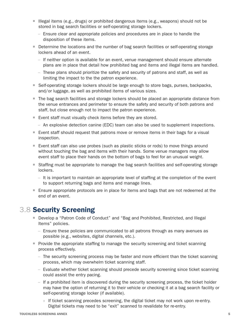- Illegal items (e.g., drugs) or prohibited dangerous items (e.g., weapons) should not be stored in bag search facilities or self-operating storage lockers.
	- Ensure clear and appropriate policies and procedures are in place to handle the disposition of these items.
- Determine the locations and the number of bag search facilities or self-operating storage lockers ahead of an event.
	- If neither option is available for an event, venue management should ensure alternate plans are in place that detail how prohibited bag and items and illegal items are handled.
	- These plans should prioritize the safety and security of patrons and staff, as well as limiting the impact to the the patron experience.
- Self-operating storage lockers should be large enough to store bags, purses, backpacks, and/or luggage, as well as prohibited items of various sizes.
- The bag search facilities and storage lockers should be placed an appropriate distance from the venue entrances and perimeter to ensure the safety and security of both patrons and staff, but close enough not to impact the patron experience.
- Event staff must visually check items before they are stored.
	- An explosive detection canine (EDC) team can also be used to supplement inspections.
- Event staff should request that patrons move or remove items in their bags for a visual inspection.
- Event staff can also use probes (such as plastic sticks or rods) to move things around without touching the bag and items with their hands. Some venue managers may allow event staff to place their hands on the bottom of bags to feel for an unusual weight.
- **Staffing must be appropriate to manage the bag search facilities and self-operating storage** lockers.
	- It is important to maintain an appropriate level of staffing at the completion of the event to support returning bags and items and manage lines.
- **E** Ensure appropriate protocols are in place for items and bags that are not redeemed at the end of an event.

#### 3.8 Security Screening

- Develop a "Patron Code of Conduct" and "Bag and Prohibited, Restricted, and Illegal Items" policies.
	- Ensure these policies are communicated to all patrons through as many avenues as possible (e.g., websites, digital channels, etc.).
- **Provide the appropriate staffing to manage the security screening and ticket scanning** process effectively.
	- The security screening process may be faster and more efficient than the ticket scanning process, which may overwhelm ticket scanning staff.
	- Evaluate whether ticket scanning should precede security screening since ticket scanning could assist the entry pacing.
	- If a prohibited item is discovered during the security screening process, the ticket holder may have the option of returning it to their vehicle or checking it at a bag search facility or self-operating storage locker (if available).
		- » If ticket scanning precedes screening, the digital ticket may not work upon re-entry. Digital tickets may need to be "exit" scanned to revalidate for re-entry.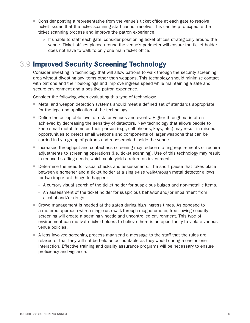- **Consider posting a representative from the venue's ticket office at each gate to resolve** ticket issues that the ticket scanning staff cannot resolve. This can help to expedite the ticket scanning process and improve the patron experience.
	- » If unable to staff each gate, consider positioning ticket offices strategically around the venue. Ticket offices placed around the venue's perimeter will ensure the ticket holder does not have to walk to only one main ticket office.

#### 3.9 Improved Security Screening Technology

Consider investing in technology that will allow patrons to walk through the security screening area without divesting any items other than weapons. This technology should minimize contact with patrons and their belongings and improve ingress speed while maintaining a safe and secure environment and a positive patron experience.

Consider the following when evaluating this type of technology:

- Metal and weapon detection systems should meet a defined set of standards appropriate for the type and application of the technology.
- Define the acceptable level of risk for venues and events. Higher throughput is often achieved by decreasing the sensitivy of detectors. New technology that allows people to keep small metal items on their person (e.g., cell phones, keys, etc.) may result in missed opportunities to detect small weapons and components of larger weapons that can be carried in by a group of patrons and reassembled inside the venue.
- **Increased throughput and contactless screening may reduce staffing requirements or require** adjustments to screening operations (i.e. ticket scanning). Use of this technology may result in reduced staffing needs, which could yield a return on investment.
- **Determine the need for visual checks and assessments. The short pause that takes place** between a screener and a ticket holder at a single-use walk-through metal detector allows for two important things to happen:
	- A cursory visual search of the ticket holder for suspicious bulges and non-metallic items.
	- An assessment of the ticket holder for suspicious behavior and/or impairment from alcohol and/or drugs.
- Crowd management is needed at the gates during high ingress times. As opposed to a metered approach with a single-use walk-through magnetometer, free-flowing security screening will create a seemingly hectic and uncontrolled environment. This type of environment can motivate ticker-holders to believe there is an opportunity to violate various venue policies.
- A less involved screening process may send a message to the staff that the rules are relaxed or that they will not be held as accountable as they would during a one-on-one interaction. Effective training and quality assurance programs will be necessary to ensure proficiency and vigilance.